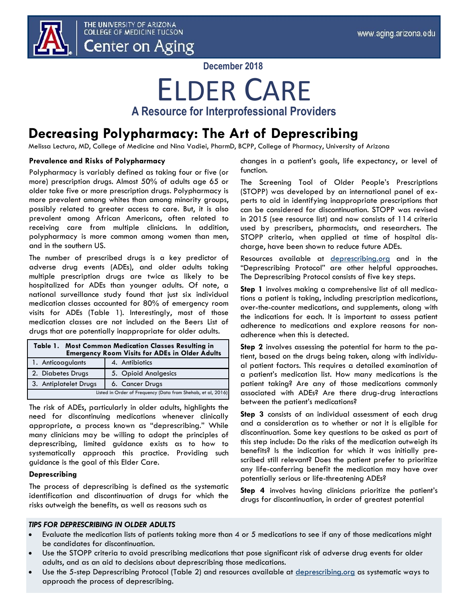

**December 2018**

## ELDER CARE **A Resource for Interprofessional Providers**

## **Decreasing Polypharmacy: The Art of Deprescribing**

Melissa Lectura, MD, College of Medicine and Nina Vadiei, PharmD, BCPP, College of Pharmacy, University of Arizona

## **Prevalence and Risks of Polypharmacy**

Polypharmacy is variably defined as taking four or five (or more) prescription drugs. Almost 50% of adults age 65 or older take five or more prescription drugs. Polypharmacy is more prevalent among whites than among minority groups, possibly related to greater access to care. But, it is also prevalent among African Americans, often related to receiving care from multiple clinicians. In addition, polypharmacy is more common among women than men, and in the southern US.

The number of prescribed drugs is a key predictor of adverse drug events (ADEs), and older adults taking multiple prescription drugs are twice as likely to be hospitalized for ADEs than younger adults. Of note, a national surveillance study found that just six individual medication classes accounted for 80% of emergency room visits for ADEs (Table 1). Interestingly, most of those medication classes are not included on the Beers List of drugs that are potentially inappropriate for older adults.

| Table 1. Most Common Medication Classes Resulting in<br><b>Emergency Room Visits for ADEs in Older Adults</b> |                      |
|---------------------------------------------------------------------------------------------------------------|----------------------|
| 1. Anticoagulants                                                                                             | 4. Antibiotics       |
| 2. Diabetes Drugs                                                                                             | 5. Opioid Analgesics |
| 3. Antiplatelet Drugs                                                                                         | 6. Cancer Drugs      |
| Listed in Order of Frequency (Data from Shehab, et al, 2016)                                                  |                      |

The risk of ADEs, particularly in older adults, highlights the need for discontinuing medications whenever clinically appropriate, a process known as "deprescribing." While many clinicians may be willing to adopt the principles of deprescribing, limited guidance exists as to how to systematically approach this practice. Providing such guidance is the goal of this Elder Care.

## **Deprescribing**

The process of deprescribing is defined as the systematic identification and discontinuation of drugs for which the risks outweigh the benefits, as well as reasons such as

changes in a patient's goals, life expectancy, or level of function.

The Screening Tool of Older People's Prescriptions (STOPP) was developed by an international panel of experts to aid in identifying inappropriate prescriptions that can be considered for discontinuation. STOPP was revised in 2015 (see resource list) and now consists of 114 criteria used by prescribers, pharmacists, and researchers. The STOPP criteria, when applied at time of hospital discharge, have been shown to reduce future ADEs.

Resources available at <deprescribing.org> and in the "Deprescribing Protocol" are other helpful approaches. The Deprescribing Protocol consists of five key steps.

**Step 1** involves making a comprehensive list of all medications a patient is taking, including prescription medications, over-the-counter medications, and supplements, along with the indications for each. It is important to assess patient adherence to medications and explore reasons for nonadherence when this is detected.

**Step 2** involves assessing the potential for harm to the patient, based on the drugs being taken, along with individual patient factors. This requires a detailed examination of a patient's medication list. How many medications is the patient taking? Are any of those medications commonly associated with ADEs? Are there drug-drug interactions between the patient's medications?

**Step 3** consists of an individual assessment of each drug and a consideration as to whether or not it is eligible for discontinuation. Some key questions to be asked as part of this step include: Do the risks of the medication outweigh its benefits? Is the indication for which it was initially prescribed still relevant? Does the patient prefer to prioritize any life-conferring benefit the medication may have over potentially serious or life-threatening ADEs?

**Step 4** involves having clinicians prioritize the patient's drugs for discontinuation, in order of greatest potential

## *TIPS FOR DEPRESCRIBING IN OLDER ADULTS*

- Evaluate the medication lists of patients taking more than 4 or 5 medications to see if any of those medications might be candidates for discontinuation.
- Use the STOPP criteria to avoid prescribing medications that pose significant risk of adverse drug events for older adults, and as an aid to decisions about deprescribing those medications.
- Use the 5-step Deprescribing Protocol (Table 2) and resources available at <deprescribing.org> as systematic ways to approach the process of deprescribing.